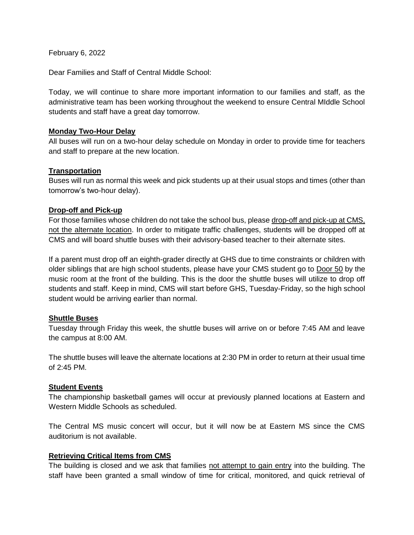February 6, 2022

Dear Families and Staff of Central Middle School:

Today, we will continue to share more important information to our families and staff, as the administrative team has been working throughout the weekend to ensure Central MIddle School students and staff have a great day tomorrow.

### **Monday Two-Hour Delay**

All buses will run on a two-hour delay schedule on Monday in order to provide time for teachers and staff to prepare at the new location.

### **Transportation**

Buses will run as normal this week and pick students up at their usual stops and times (other than tomorrow's two-hour delay).

### **Drop-off and Pick-up**

For those families whose children do not take the school bus, please drop-off and pick-up at CMS, not the alternate location. In order to mitigate traffic challenges, students will be dropped off at CMS and will board shuttle buses with their advisory-based teacher to their alternate sites.

If a parent must drop off an eighth-grader directly at GHS due to time constraints or children with older siblings that are high school students, please have your CMS student go to Door 50 by the music room at the front of the building. This is the door the shuttle buses will utilize to drop off students and staff. Keep in mind, CMS will start before GHS, Tuesday-Friday, so the high school student would be arriving earlier than normal.

## **Shuttle Buses**

Tuesday through Friday this week, the shuttle buses will arrive on or before 7:45 AM and leave the campus at 8:00 AM.

The shuttle buses will leave the alternate locations at 2:30 PM in order to return at their usual time of 2:45 PM.

## **Student Events**

The championship basketball games will occur at previously planned locations at Eastern and Western Middle Schools as scheduled.

The Central MS music concert will occur, but it will now be at Eastern MS since the CMS auditorium is not available.

## **Retrieving Critical Items from CMS**

The building is closed and we ask that families not attempt to gain entry into the building. The staff have been granted a small window of time for critical, monitored, and quick retrieval of